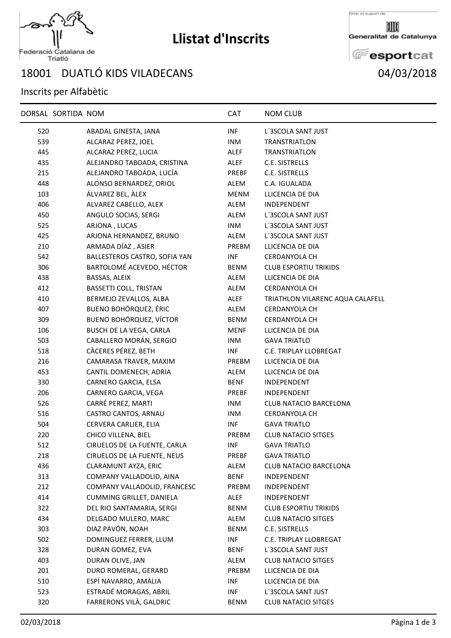

## **Llistat d'Inscrits**

Amb el suport de

Generalitat de Catalunya

**E**esportcat

Federació Catalana de<br>Triatló

## DUATLÓ KIDS VILADECANS 04/03/2018

## Inscrits per Alfabètic

|     | DORSAL SORTIDA NOM |                               | <b>CAT</b>  | <b>NOM CLUB</b>                  |
|-----|--------------------|-------------------------------|-------------|----------------------------------|
| 520 |                    | ABADAL GINESTA, JANA          | INF         | L'3SCOLA SANT JUST               |
| 539 |                    | ALCARAZ PEREZ, JOEL           | <b>INM</b>  | <b>TRANSTRIATLON</b>             |
| 445 |                    | ALCARAZ PEREZ, LUCIA          | ALEF        | <b>TRANSTRIATLON</b>             |
| 435 |                    | ALEJANDRO TABOADA, CRISTINA   | ALEF        | C.E. SISTRELLS                   |
| 215 |                    | ALEJANDRO TABOADA, LUCÍA      | PREBF       | C.E. SISTRELLS                   |
| 448 |                    | ALONSO BERNARDEZ, ORIOL       | ALEM        | C.A. IGUALADA                    |
| 103 |                    | ÁLVAREZ BEL, ÀLEX             | MENM        | LLICENCIA DE DIA                 |
| 406 |                    | ALVAREZ CABELLO, ALEX         | ALEM        | <b>INDEPENDENT</b>               |
| 450 |                    | ANGULO SOCIAS, SERGI          | ALEM        | L'3SCOLA SANT JUST               |
| 525 |                    | ARJONA, LUCAS                 | <b>INM</b>  | L'3SCOLA SANT JUST               |
| 425 |                    | ARJONA HERNANDEZ, BRUNO       | ALEM        | L'3SCOLA SANT JUST               |
| 210 |                    | ARMADA DÍAZ, ASIER            | PREBM       | LLICENCIA DE DIA                 |
| 542 |                    | BALLESTEROS CASTRO, SOFIA YAN | <b>INF</b>  | CERDANYOLA CH                    |
| 306 |                    | BARTOLOMÉ ACEVEDO, HÉCTOR     | BENM        | <b>CLUB ESPORTIU TRIKIDS</b>     |
| 438 |                    | BASSAS, ALEIX                 | ALEM        | LLICENCIA DE DIA                 |
| 412 |                    | BASSETTI COLL, TRISTAN        | ALEM        | <b>CERDANYOLA CH</b>             |
| 410 |                    | BERMEJO ZEVALLOS, ALBA        | ALEF        | TRIATHLON VILARENC AQUA CALAFELL |
| 407 |                    | BUENO BOHÓRQUEZ, ÉRIC         | ALEM        | <b>CERDANYOLA CH</b>             |
| 309 |                    | BUENO BOHÓRQUEZ, VÍCTOR       | BENM        | CERDANYOLA CH                    |
| 106 |                    | BUSCH DE LA VEGA, CARLA       | <b>MENF</b> | LLICENCIA DE DIA                 |
| 503 |                    | CABALLERO MORÁN, SERGIO       | INM         | <b>GAVA TRIATLO</b>              |
| 518 |                    | CÀCERES PÉREZ, BETH           | <b>INF</b>  | C.E. TRIPLAY LLOBREGAT           |
| 216 |                    | CAMARASA TRAVER, MAXIM        | PREBM       | LLICENCIA DE DIA                 |
| 453 |                    | CANTIL DOMENECH, ADRIA        | ALEM        | LLICENCIA DE DIA                 |
| 330 |                    | CARNERO GARCIA, ELSA          | BENF        | INDEPENDENT                      |
| 206 |                    | CARNERO GARCIA, VEGA          | PREBF       | INDEPENDENT                      |
| 526 |                    | CARRÉ PEREZ, MARTI            | <b>INM</b>  | <b>CLUB NATACIO BARCELONA</b>    |
| 516 |                    | CASTRO CANTOS, ARNAU          | INM         | <b>CERDANYOLA CH</b>             |
| 504 |                    | CERVERA CARLIER, ELIA         | INF         | <b>GAVA TRIATLO</b>              |
| 220 |                    | CHICO VILLENA, BIEL           | PREBM       | <b>CLUB NATACIO SITGES</b>       |
| 512 |                    | CIRUELOS DE LA FUENTE, CARLA  | <b>INF</b>  | <b>GAVA TRIATLO</b>              |
| 218 |                    | CIRUELOS DE LA FUENTE, NEUS   | PREBF       | <b>GAVA TRIATLO</b>              |
| 436 |                    | CLARAMUNT AYZA, ERIC          | ALEM        | CLUB NATACIO BARCELONA           |
| 313 |                    | COMPANY VALLADOLID, AINA      | BENF        | INDEPENDENT                      |
| 212 |                    | COMPANY VALLADOLID, FRANCESC  | PREBM       | INDEPENDENT                      |
| 414 |                    | CUMMING GRILLET, DANIELA      | ALEF        | INDEPENDENT                      |
| 322 |                    | DEL RIO SANTAMARIA, SERGI     | <b>BENM</b> | <b>CLUB ESPORTIU TRIKIDS</b>     |
| 434 |                    | DELGADO MULERO, MARC          | ALEM        | <b>CLUB NATACIO SITGES</b>       |
| 303 |                    | DIAZ PAVÓN, NOAH              | <b>BENM</b> | C.E. SISTRELLS                   |
| 502 |                    | DOMINGUEZ FERRER, LLUM        | INF         | C.E. TRIPLAY LLOBREGAT           |
| 328 |                    | DURAN GOMEZ, EVA              | BENF        | L'3SCOLA SANT JUST               |
| 403 |                    | DURAN OLIVE, JAN              | ALEM        | <b>CLUB NATACIO SITGES</b>       |
| 201 |                    | DURO ROMERAL, GERARD          | PREBM       | LLICENCIA DE DIA                 |
| 510 |                    | ESPÍ NAVARRO, AMÀLIA          | INF         | LLICENCIA DE DIA                 |
| 523 |                    | ESTRADÉ MORAGAS, ABRIL        | INF         | L'3SCOLA SANT JUST               |
| 320 |                    | FARRERONS VILÀ, GALDRIC       | BENM        | <b>CLUB NATACIO SITGES</b>       |
|     |                    |                               |             |                                  |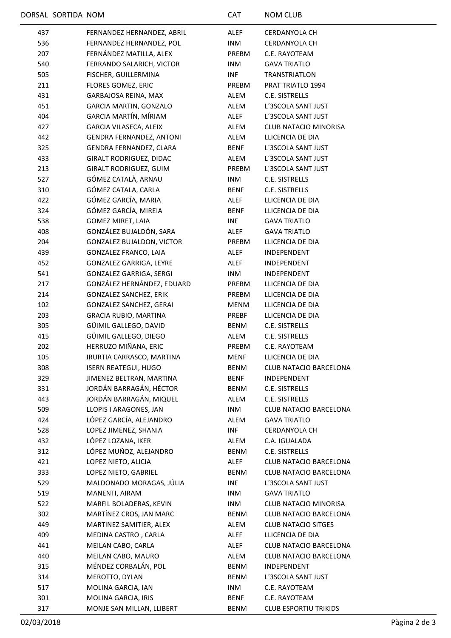| 437 | FERNANDEZ HERNANDEZ, ABRIL       | ALEF        | <b>CERDANYOLA CH</b>          |
|-----|----------------------------------|-------------|-------------------------------|
| 536 | FERNANDEZ HERNANDEZ, POL         | <b>INM</b>  | CERDANYOLA CH                 |
| 207 | FERNÁNDEZ MATILLA, ALEX          | PREBM       | C.E. RAYOTEAM                 |
| 540 | FERRANDO SALARICH, VICTOR        | <b>INM</b>  | <b>GAVA TRIATLO</b>           |
| 505 | FISCHER, GUILLERMINA             | <b>INF</b>  | TRANSTRIATLON                 |
| 211 | FLORES GOMEZ, ERIC               | PREBM       | PRAT TRIATLO 1994             |
| 431 | GARBAJOSA REINA, MAX             | ALEM        | C.E. SISTRELLS                |
| 451 | GARCIA MARTIN, GONZALO           | ALEM        | L'3SCOLA SANT JUST            |
| 404 | GARCIA MARTÍN, MÍRIAM            | ALEF        | L'3SCOLA SANT JUST            |
| 427 | GARCIA VILASECA, ALEIX           | ALEM        | <b>CLUB NATACIO MINORISA</b>  |
| 442 | <b>GENDRA FERNANDEZ, ANTONI</b>  | ALEM        | LLICENCIA DE DIA              |
| 325 | GENDRA FERNANDEZ, CLARA          | <b>BENF</b> | L'3SCOLA SANT JUST            |
| 433 | <b>GIRALT RODRIGUEZ, DIDAC</b>   | ALEM        | L'3SCOLA SANT JUST            |
| 213 | GIRALT RODRIGUEZ, GUIM           | PREBM       | L'3SCOLA SANT JUST            |
| 527 | GÓMEZ CATALÀ, ARNAU              | INM         | C.E. SISTRELLS                |
| 310 | GÓMEZ CATALA, CARLA              | BENF        | C.E. SISTRELLS                |
| 422 | GÓMEZ GARCÍA, MARIA              | ALEF        | LLICENCIA DE DIA              |
| 324 | GÓMEZ GARCÍA, MIREIA             | BENF        | LLICENCIA DE DIA              |
| 538 | <b>GOMEZ MIRET, LAIA</b>         | INF         | <b>GAVA TRIATLO</b>           |
| 408 | GONZÁLEZ BUJALDÓN, SARA          | ALEF        | <b>GAVA TRIATLO</b>           |
| 204 | <b>GONZALEZ BUJALDON, VICTOR</b> | PREBM       | LLICENCIA DE DIA              |
| 439 | GONZALEZ FRANCO, LAIA            | <b>ALEF</b> | INDEPENDENT                   |
| 452 | GONZALEZ GARRIGA, LEYRE          | ALEF        | INDEPENDENT                   |
| 541 | GONZALEZ GARRIGA, SERGI          | INM         | INDEPENDENT                   |
| 217 | GONZÁLEZ HERNÁNDEZ, EDUARD       | PREBM       | LLICENCIA DE DIA              |
| 214 | GONZALEZ SANCHEZ, ERIK           | PREBM       | LLICENCIA DE DIA              |
| 102 | GONZALEZ SANCHEZ, GERAI          | MENM        | LLICENCIA DE DIA              |
| 203 | <b>GRACIA RUBIO, MARTINA</b>     | PREBF       | LLICENCIA DE DIA              |
| 305 | GÜIMIL GALLEGO, DAVID            | <b>BENM</b> | C.E. SISTRELLS                |
| 415 | GÜIMIL GALLEGO, DIEGO            | ALEM        | C.E. SISTRELLS                |
| 202 | HERRUZO MIÑANA, ERIC             | PREBM       | C.E. RAYOTEAM                 |
| 105 | IRURTIA CARRASCO, MARTINA        | <b>MENF</b> | LLICENCIA DE DIA              |
| 308 | <b>ISERN REATEGUI, HUGO</b>      | BENM        | CLUB NATACIO BARCELONA        |
| 329 | JIMENEZ BELTRAN, MARTINA         | <b>BENF</b> | INDEPENDENT                   |
| 331 | JORDÁN BARRAGÁN, HÉCTOR          | BENM        | C.E. SISTRELLS                |
| 443 | JORDÁN BARRAGÁN, MIQUEL          | ALEM        | C.E. SISTRELLS                |
| 509 | LLOPIS I ARAGONES, JAN           | INM         | CLUB NATACIO BARCELONA        |
| 424 | LÓPEZ GARCÍA, ALEJANDRO          | ALEM        | <b>GAVA TRIATLO</b>           |
| 528 | LOPEZ JIMENEZ, SHANIA            | INF         | CERDANYOLA CH                 |
| 432 | LÓPEZ LOZANA, IKER               | ALEM        | C.A. IGUALADA                 |
| 312 | LÓPEZ MUÑOZ, ALEJANDRO           | BENM        | C.E. SISTRELLS                |
| 421 | LOPEZ NIETO, ALICIA              | ALEF        | CLUB NATACIO BARCELONA        |
| 333 | LOPEZ NIETO, GABRIEL             | BENM        | CLUB NATACIO BARCELONA        |
| 529 | MALDONADO MORAGAS, JÚLIA         | <b>INF</b>  | L'3SCOLA SANT JUST            |
| 519 | MANENTI, AIRAM                   | <b>INM</b>  | <b>GAVA TRIATLO</b>           |
| 522 | MARFIL BOLADERAS, KEVIN          | INM         | CLUB NATACIO MINORISA         |
| 302 | MARTÍNEZ CROS, JAN MARC          | BENM        | <b>CLUB NATACIO BARCELONA</b> |
| 449 | MARTINEZ SAMITIER, ALEX          | ALEM        | <b>CLUB NATACIO SITGES</b>    |
| 409 | MEDINA CASTRO, CARLA             | ALEF        | LLICENCIA DE DIA              |
| 441 | MEILAN CABO, CARLA               | ALEF        | CLUB NATACIO BARCELONA        |
| 440 | MEILAN CABO, MAURO               | ALEM        | CLUB NATACIO BARCELONA        |
| 315 | MÉNDEZ CORBALÁN, POL             | BENM        | INDEPENDENT                   |
| 314 | MEROTTO, DYLAN                   | BENM        | L'3SCOLA SANT JUST            |
| 517 | MOLINA GARCIA, IAN               | INM         | C.E. RAYOTEAM                 |
| 301 | MOLINA GARCIA, IRIS              | BENF        | C.E. RAYOTEAM                 |
| 317 | MONJE SAN MILLAN, LLIBERT        | BENM        | <b>CLUB ESPORTIU TRIKIDS</b>  |